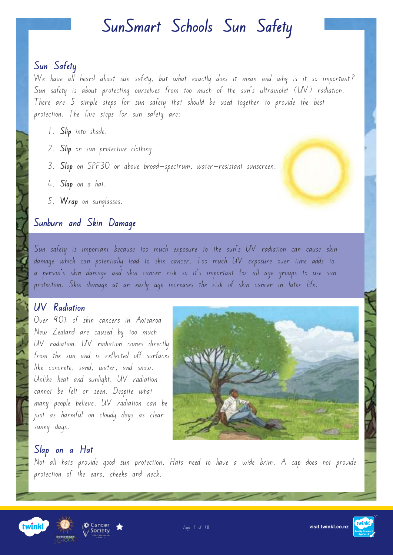#### **Sun Safety**

We have all heard about sun safety, but what exactly does it mean and why is it so important? Sun safety is about protecting ourselves from too much of the sun's ultraviolet (UV) radiation. There are 5 simple steps for sun safety that should be used together to provide the best protection. The five steps for sun safety are:

- 1. **Slip** into shade.
- 2. **Slip** on sun protective clothing.
- 3. **Slop** on SPF30 or above broad-spectrum, water-resistant sunscreen.
- 4. **Slap** on a hat.
- 5. **Wrap** on sunglasses.

#### **Sunburn and Skin Damage**

Sun safety is important because too much exposure to the sun's UV radiation can cause skin damage which can potentially lead to skin cancer. Too much UV exposure over time adds to a person's skin damage and skin cancer risk so it's important for all age groups to use sun protection. Skin damage at an early age increases the risk of skin cancer in later life.

#### **UV Radiation**

Over 90% of skin cancers in Aotearoa New Zealand are caused by too much UV radiation. UV radiation comes directly from the sun and is reflected off surfaces like concrete, sand, water, and snow. Unlike heat and sunlight, UV radiation cannot be felt or seen. Despite what many people believe, UV radiation can be just as harmful on cloudy days as clear sunny days.



#### **Slap on a Hat**

Not all hats provide good sun protection. Hats need to have a wide brim. A cap does not provide protection of the ears, cheeks and neck.





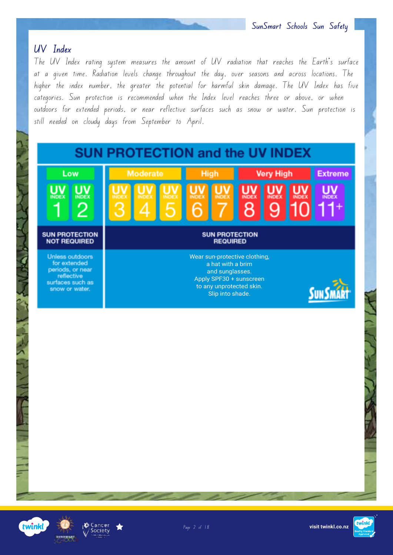#### **UV Index**

The UV Index rating system measures the amount of UV radiation that reaches the Earth's surface at a given time. Radiation levels change throughout the day, over seasons and across locations. The higher the index number, the greater the potential for harmful skin damage. The UV Index has five categories. Sun protection is recommended when the Index level reaches three or above, or when outdoors for extended periods, or near reflective surfaces such as snow or water. Sun protection is still needed on cloudy days from September to April.





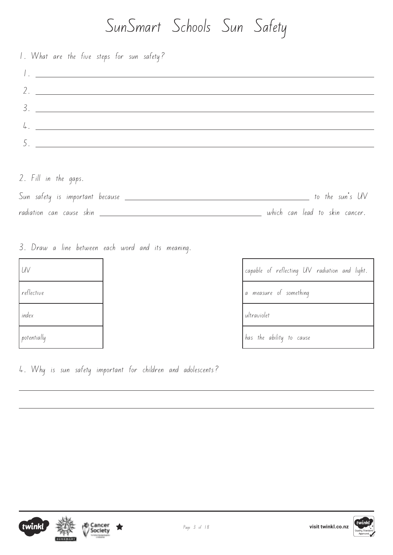| 1. What are the five steps for sun safety?                                                                                                                                                                                         |
|------------------------------------------------------------------------------------------------------------------------------------------------------------------------------------------------------------------------------------|
| <u> 1. – Johann Jacobson, mars and de la population de la population de la population de la population de la popu</u>                                                                                                              |
|                                                                                                                                                                                                                                    |
|                                                                                                                                                                                                                                    |
| $\frac{1}{2}$ . The contract of the contract of the contract of the contract of the contract of the contract of the contract of the contract of the contract of the contract of the contract of the contract of the contract of th |
|                                                                                                                                                                                                                                    |
|                                                                                                                                                                                                                                    |

2. Fill in the gaps.

| Sun safety is important because | to the sun's UV                |
|---------------------------------|--------------------------------|
| radiation can cause skin        | which can lead to skin cancer. |

3. Draw a line between each word and its meaning.

| UV              | capable o               |
|-----------------|-------------------------|
| reflective      | measur<br>$\mathcal{Q}$ |
| index           | ultraviolet             |
| $ $ potentially | has the                 |

capable of reflecting UV radiation and light. a measure of something has the ability to cause

4. Why is sun safety important for children and adolescents?



 $\overline{a}$ 

 $\overline{a}$ 

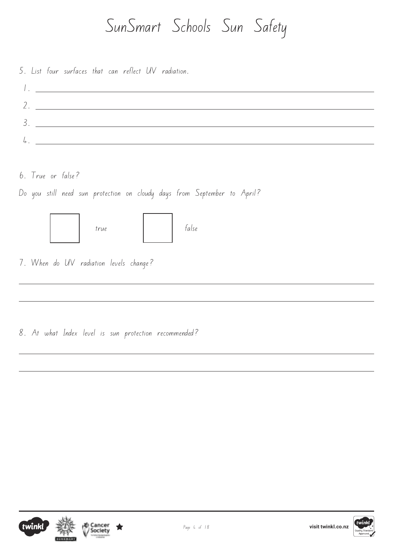5. List four surfaces that can reflect UV radiation.

6. True or false?

 $\overline{a}$ 

 $\overline{a}$ 

 $\overline{a}$ 

 $\overline{a}$ 

Do you still need sun protection on cloudy days from September to April?



7. When do UV radiation levels change?

8. At what Index level is sun protection recommended?





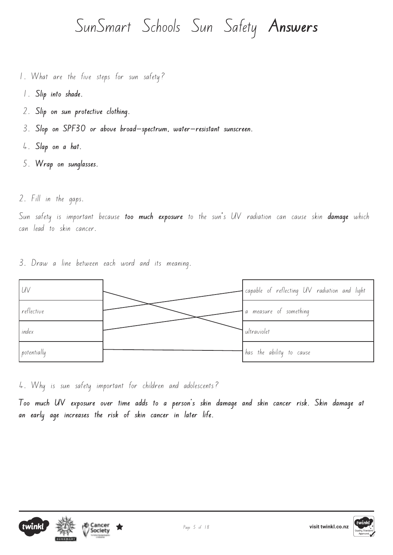- 1. What are the five steps for sun safety?
- 1. **Slip into shade.**
- 2. **Slip on sun protective clothing.**
- 3. **Slop on SPF30 or above broad-spectrum, water-resistant sunscreen.**
- 4. **Slap on a hat.**
- 5. **Wrap on sunglasses.**
- 2. Fill in the gaps.

Sun safety is important because **too much exposure** to the sun's UV radiation can cause skin **damage** which can lead to skin cancer.

3. Draw a line between each word and its meaning.



4. Why is sun safety important for children and adolescents?

**Too much UV exposure over time adds to a person's skin damage and skin cancer risk. Skin damage at an early age increases the risk of skin cancer in later life.**



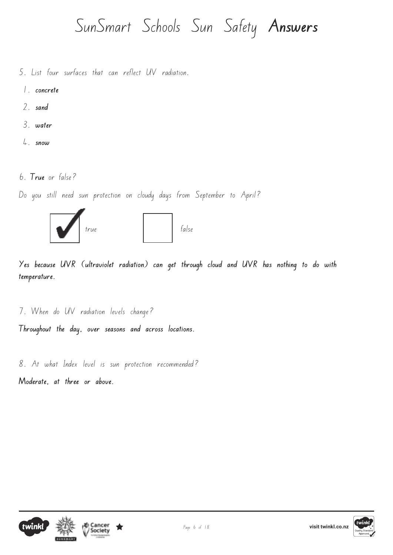- 5. List four surfaces that can reflect UV radiation.
	- 1. **concrete**
	- 2. **sand**
	- 3. **water**
	- 4. **snow**
- 6. **True** or false?

Do you still need sun protection on cloudy days from September to April?



**Yes because UVR (ultraviolet radiation) can get through cloud and UVR has nothing to do with temperature.**

7. When do UV radiation levels change? **Throughout the day, over seasons and across locations.**

8. At what Index level is sun protection recommended?

**Moderate, at three or above.**



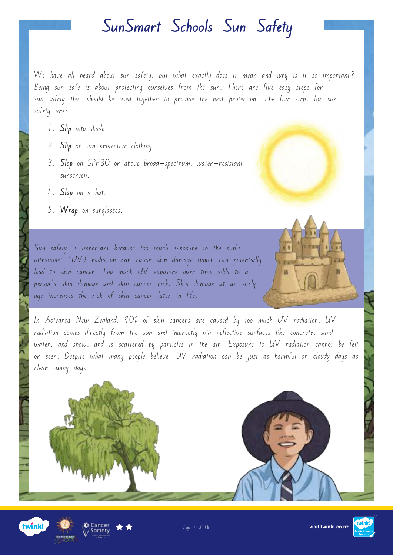We have all heard about sun safety, but what exactly does it mean and why is it so important? Being sun safe is about protecting ourselves from the sun. There are five easy steps for sun safety that should be used together to provide the best protection. The five steps for sun safety are:

- 1. **Slip** into shade.
- 2. **Slip** on sun protective clothing.
- 3. **Slop** on SPF30 or above broad-spectrum, water-resistant sunscreen.
- 4**. Slap** on a hat.
- 5. **Wrap** on sunglasses.

Sun safety is important because too much exposure to the sun's ultraviolet (UV) radiation can cause skin damage which can potentially lead to skin cancer. Too much UV exposure over time adds to a person's skin damage and skin cancer risk. Skin damage at an early age increases the risk of skin cancer later in life.

In Aotearoa New Zealand, 90% of skin cancers are caused by too much UV radiation. UV radiation comes directly from the sun and indirectly via reflective surfaces like concrete, sand, water, and snow, and is scattered by particles in the air. Exposure to UV radiation cannot be felt or seen. Despite what many people believe, UV radiation can be just as harmful on cloudy days as clear sunny days.







**M** 

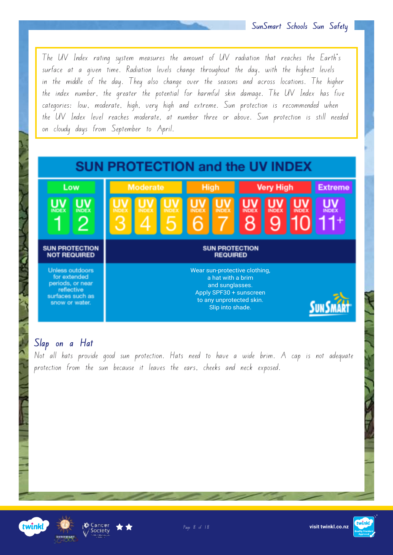The UV Index rating system measures the amount of UV radiation that reaches the Earth's surface at a given time. Radiation levels change throughout the day, with the highest levels in the middle of the day. They also change over the seasons and across locations. The higher the index number, the greater the potential for harmful skin damage. The UV Index has five categories: low, moderate, high, very high and extreme. Sun protection is recommended when the UV Index level reaches moderate, at number three or above. Sun protection is still needed on cloudy days from September to April.



#### **Slap on a Hat**

Not all hats provide good sun protection. Hats need to have a wide brim. A cap is not adequate protection from the sun because it leaves the ears, cheeks and neck exposed.





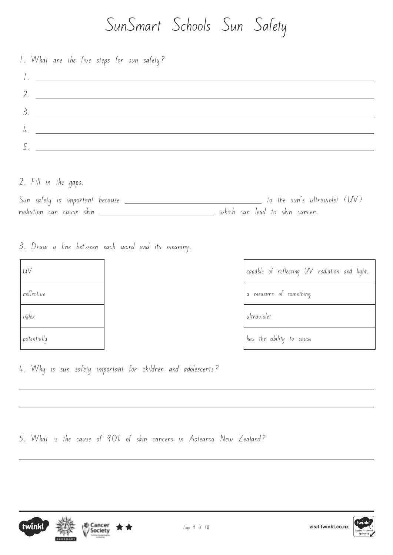| 1. What are the five steps for sun safety?            |
|-------------------------------------------------------|
|                                                       |
| $2.$ $-$                                              |
| $3.$ $\overline{\phantom{a}}$                         |
| $4.$ $\overline{\phantom{a}}$                         |
| <u> 1980 - Jan Stein Berlin, Amerikaansk kanton (</u> |
|                                                       |

2. Fill in the gaps.

| Sun safety is important because | to the sun's ultraviolet $(UV)$ |
|---------------------------------|---------------------------------|
| radiation can cause skin        | which can lead to skin cancer.  |

3. Draw a line between each word and its meaning.

| UV          | capable o          |
|-------------|--------------------|
| reflective  | measur<br>$\sigma$ |
| index       | ultraviolet        |
| potentially | has the            |

capable of reflecting UV radiation and light. a measure of something has the ability to cause

4. Why is sun safety important for children and adolescents?

5. What is the cause of 90% of skin cancers in Aotearoa New Zealand?



 $\overline{a}$ 

 $\overline{a}$ 

 $\overline{a}$ 



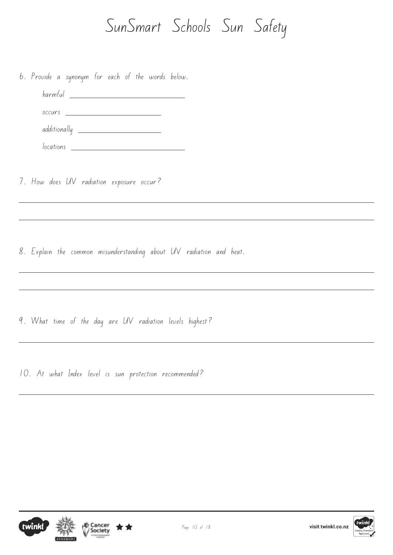6. Provide a synonym for each of the words below.

 harmful occurs additionally locations

7. How does UV radiation exposure occur?

 $\overline{a}$ 

 $\overline{a}$ 

 $\overline{a}$ 

 $\overline{a}$ 

 $\overline{a}$ 

 $\overline{a}$ 

8. Explain the common misunderstanding about UV radiation and heat.

9. What time of the day are UV radiation levels highest?

10. At what Index level is sun protection recommended?





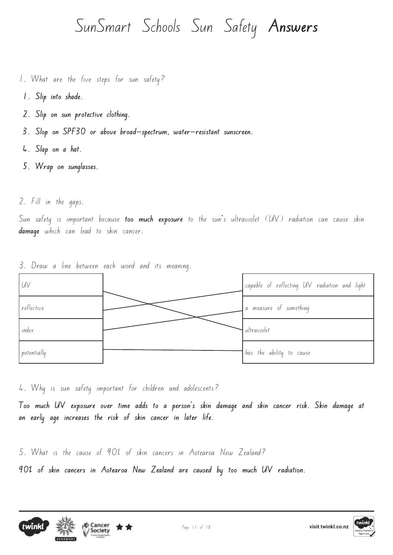- 1. What are the five steps for sun safety?
- **1. Slip into shade.**
- **2. Slip on sun protective clothing.**
- **3. Slop on SPF30 or above broad-spectrum, water-resistant sunscreen.**
- **4. Slap on a hat.**
- **5. Wrap on sunglasses.**
- 2. Fill in the gaps.

Sun safety is important because **too much exposure** to the sun's ultraviolet (UV) radiation can cause skin **damage** which can lead to skin cancer.

UV capable of reflecting UV radiation and light reflective a measure of something index distribution of the contract of the contract of the ultraviolet potentially **has the ability** to cause

3. Draw a line between each word and its meaning.

4. Why is sun safety important for children and adolescents?

**Too much UV exposure over time adds to a person's skin damage and skin cancer risk. Skin damage at an early age increases the risk of skin cancer in later life.**

5. What is the cause of 90% of skin cancers in Aotearoa New Zealand?

**90% of skin cancers in Aotearoa New Zealand are caused by too much UV radiation.**



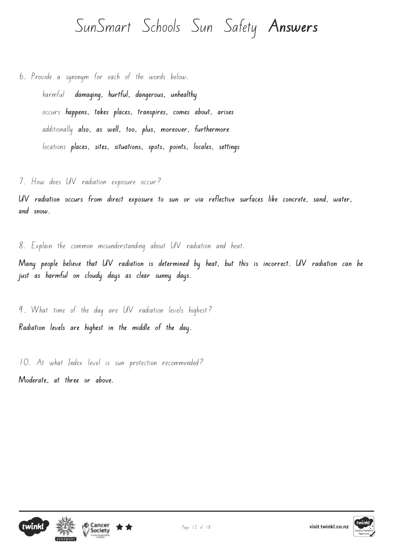6. Provide a synonym for each of the words below. harmful **damaging, hurtful, dangerous, unhealthy** occurs **happens, takes places, transpires, comes about, arises** additionally **also, as well, too, plus, moreover, furthermore** locations **places, sites, situations, spots, points, locales, settings**

7. How does UV radiation exposure occur?

**UV radiation occurs from direct exposure to sun or via reflective surfaces like concrete, sand, water, and snow.** 

8. Explain the common misunderstanding about UV radiation and heat.

**Many people believe that UV radiation is determined by heat, but this is incorrect. UV radiation can be just as harmful on cloudy days as clear sunny days.**

9. What time of the day are UV radiation levels highest? **Radiation levels are highest in the middle of the day.**

10. At what Index level is sun protection recommended? **Moderate, at three or above.**





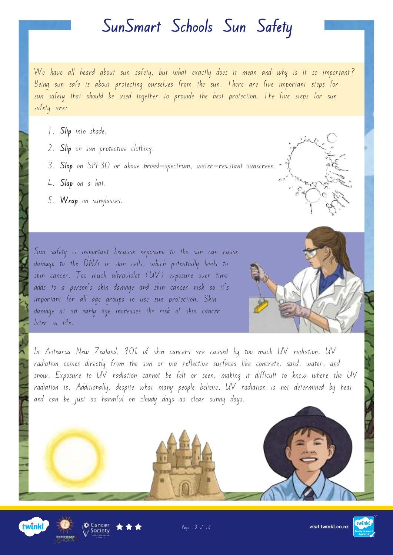We have all heard about sun safety, but what exactly does it mean and why is it so important? Being sun safe is about protecting ourselves from the sun. There are five important steps for sun safety that should be used together to provide the best protection. The five steps for sun safety are:

- 1. **Slip** into shade.
- 2. **Slip** on sun protective clothing.
- 3. **Slop** on SPF30 or above broad-spectrum, water-resistant sunscreen.
- 4. **Slap** on a hat.
- 5. **Wrap** on sunglasses.

Sun safety is important because exposure to the sun can cause damage to the DNA in skin cells, which potentially leads to skin cancer. Too much ultraviolet (UV) exposure over time adds to a person's skin damage and skin cancer risk so it's important for all age groups to use sun protection. Skin damage at an early age increases the risk of skin cancer later in life.



In Aotearoa New Zealand, 90% of skin cancers are caused by too much UV radiation. UV radiation comes directly from the sun or via reflective surfaces like concrete, sand, water, and snow. Exposure to UV radiation cannot be felt or seen, making it difficult to know where the UV radiation is. Additionally, despite what many people believe, UV radiation is not determined by heat and can be just as harmful on cloudy days as clear sunny days.





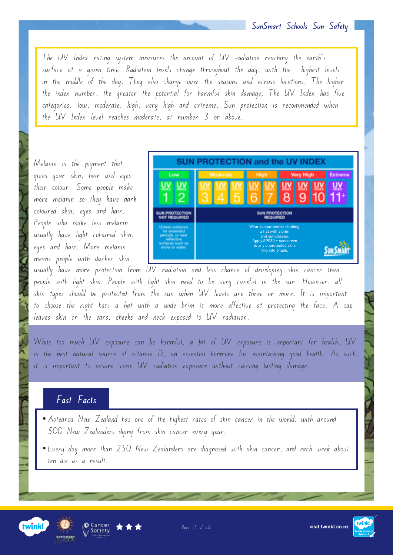The UV Index rating system measures the amount of UV radiation reaching the earth's surface at a given time. Radiation levels change throughout the day, with the highest levels in the middle of the day. They also change over the seasons and across locations. The higher the index number, the greater the potential for harmful skin damage. The UV Index has five categories: low, moderate, high, very high and extreme. Sun protection is recommended when the UV Index level reaches moderate, at number 3 or above.

Melanin is the pigment that gives your skin, hair and eyes their colour. Some people make more melanin so they have dark coloured skin, eyes and hair. People who make less melanin usually have light coloured skin, eyes and hair. More melanin means people with darker skin



usually have more protection from UV radiation and less chance of developing skin cancer than people with light skin. People with light skin need to be very careful in the sun. However, all skin types should be protected from the sun when UV levels are three or more. It is important to choose the right hat; a hat with a wide brim is more effective at protecting the face. A cap leaves skin on the ears, cheeks and neck exposed to UV radiation.

While too much UV exposure can be harmful, a bit of UV exposure is important for health. UV is the best natural source of vitamin D, an essential hormone for maintaining good health. As such, it is important to ensure some UV radiation exposure without causing lasting damage.

#### **Fast Facts**

- Aotearoa New Zealand has one of the highest rates of skin cancer in the world, with around 500 New Zealanders dying from skin cancer every year.
- Every day more than 250 New Zealanders are diagnosed with skin cancer, and each week about ten die as a result.







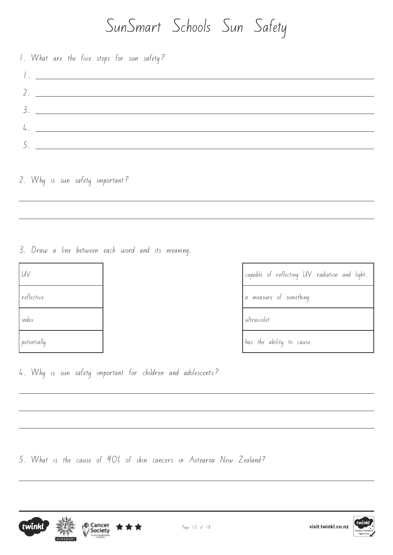1. What are the five steps for sun safety? 1. 2. 3. 4. 5.

2. Why is sun safety important?

 $\overline{a}$ 

 $\overline{a}$ 

 $\overline{a}$ 

 $\overline{a}$ 

3. Draw a line between each word and its meaning.

| UV          | capable o               |
|-------------|-------------------------|
| reflective  | measur<br>$\mathcal{G}$ |
| index       | ultraviolet             |
| potentially | has the                 |

capable of reflecting UV radiation and light. a measure of something has the ability to cause

4. Why is sun safety important for children and adolescents?

5. What is the cause of 90% of skin cancers in Aotearoa New Zealand?



 $\overline{a}$ 





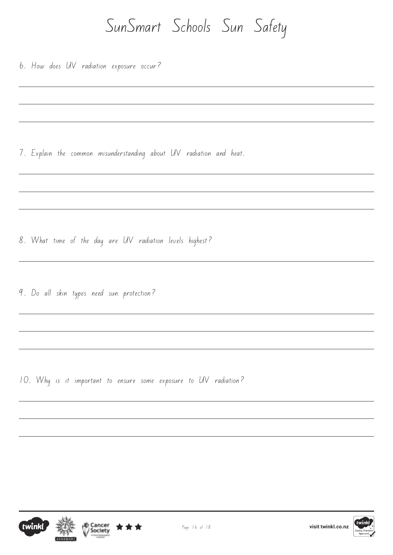6. How does UV radiation exposure occur?

 $\overline{a}$ 

 $\overline{a}$ 

 $\overline{a}$ 

 $\overline{a}$ 

 $\overline{a}$ 

7. Explain the common misunderstanding about UV radiation and heat.

- 8. What time of the day are UV radiation levels highest?
- 9. Do all skin types need sun protection?

10. Why is it important to ensure some exposure to UV radiation?





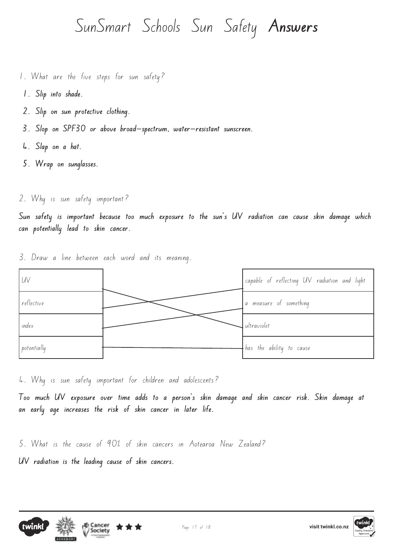- 1. What are the five steps for sun safety?
- **1. Slip into shade.**
- **2. Slip on sun protective clothing.**
- **3. Slop on SPF30 or above broad-spectrum, water-resistant sunscreen.**
- **4. Slap on a hat.**
- **5. Wrap on sunglasses.**
- 2. Why is sun safety important?

**Sun safety is important because too much exposure to the sun's UV radiation can cause skin damage which can potentially lead to skin cancer.** 

- UV capable of reflecting UV radiation and light reflective a measure of something index and the state of the state of the state of the state of the state of the state of the state of the state of the state of the state of the state of the state of the state of the state of the state of the state of the potentially has the ability to cause
- 3. Draw a line between each word and its meaning.

4. Why is sun safety important for children and adolescents?

**Too much UV exposure over time adds to a person's skin damage and skin cancer risk. Skin damage at an early age increases the risk of skin cancer in later life.**

5. What is the cause of 90% of skin cancers in Aotearoa New Zealand?

**UV radiation is the leading cause of skin cancers.**